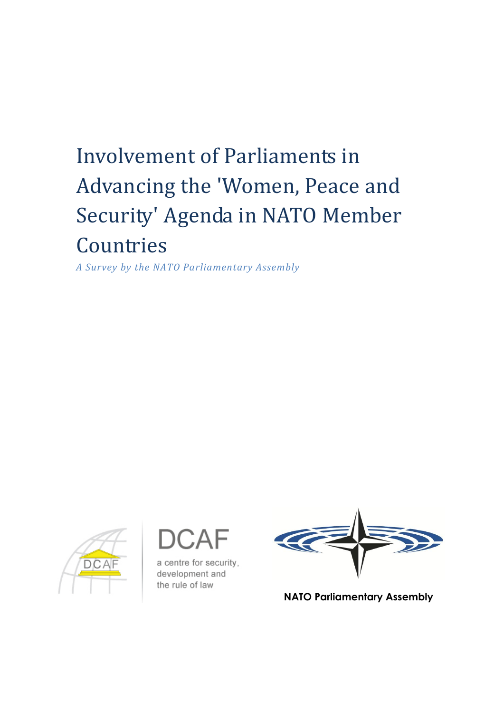# Involvement of Parliaments in Advancing the 'Women, Peace and Security' Agenda in NATO Member **Countries**

*A Survey by the NATO Parliamentary Assembly*



a centre for security, development and the rule of law



**NATO Parliamentary Assembly**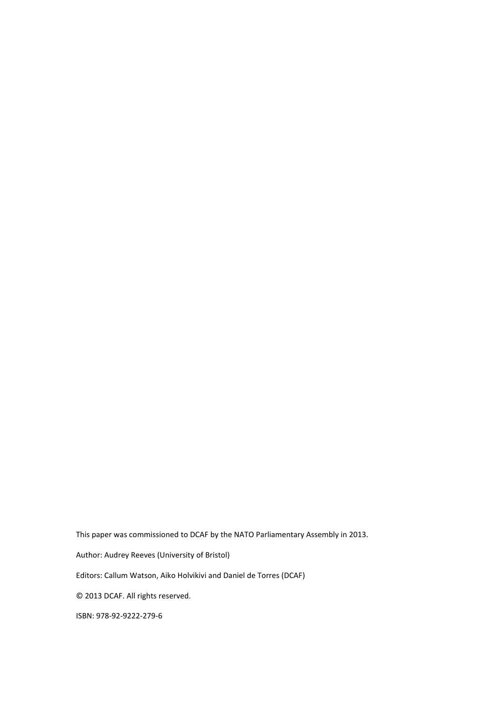This paper was commissioned to DCAF by the NATO Parliamentary Assembly in 2013.

Author: Audrey Reeves (University of Bristol)

Editors: Callum Watson, Aiko Holvikivi and Daniel de Torres (DCAF)

© 2013 DCAF. All rights reserved.

ISBN: 978-92-9222-279-6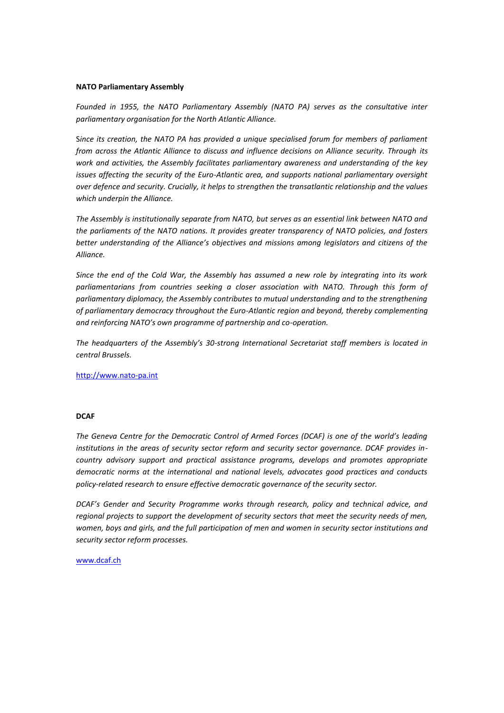#### **NATO Parliamentary Assembly**

*Founded in 1955, the NATO Parliamentary Assembly (NATO PA) serves as the consultative inter parliamentary organisation for the North Atlantic Alliance.*

S*ince its creation, the NATO PA has provided a unique specialised forum for members of parliament from across the Atlantic Alliance to discuss and influence decisions on Alliance security. Through its work and activities, the Assembly facilitates parliamentary awareness and understanding of the key issues affecting the security of the Euro-Atlantic area, and supports national parliamentary oversight over defence and security. Crucially, it helps to strengthen the transatlantic relationship and the values which underpin the Alliance.*

*The Assembly is institutionally separate from NATO, but serves as an essential link between NATO and the parliaments of the NATO nations. It provides greater transparency of NATO policies, and fosters better understanding of the Alliance's objectives and missions among legislators and citizens of the Alliance.*

*Since the end of the Cold War, the Assembly has assumed a new role by integrating into its work*  parliamentarians from countries seeking a closer association with NATO. Through this form of *parliamentary diplomacy, the Assembly contributes to mutual understanding and to the strengthening of parliamentary democracy throughout the Euro-Atlantic region and beyond, thereby complementing and reinforcing NATO's own programme of partnership and co-operation.*

*The headquarters of the Assembly's 30-strong International Secretariat staff members is located in central Brussels.*

[http://www.nato-pa.int](http://www.nato-pa.int/)

#### **DCAF**

*The Geneva Centre for the Democratic Control of Armed Forces (DCAF) is one of the world's leading institutions in the areas of security sector reform and security sector governance. DCAF provides incountry advisory support and practical assistance programs, develops and promotes appropriate democratic norms at the international and national levels, advocates good practices and conducts policy-related research to ensure effective democratic governance of the security sector.*

*DCAF's Gender and Security Programme works through research, policy and technical advice, and regional projects to support the development of security sectors that meet the security needs of men, women, boys and girls, and the full participation of men and women in security sector institutions and security sector reform processes.*

#### [www.dcaf.ch](file://FileServer/GCDCAF/Operations%20III/Gender%20and%20security/Funding%20and%20partners/NATO/NATO%20PA/2013%20Survey%20paper/www.dcaf.ch)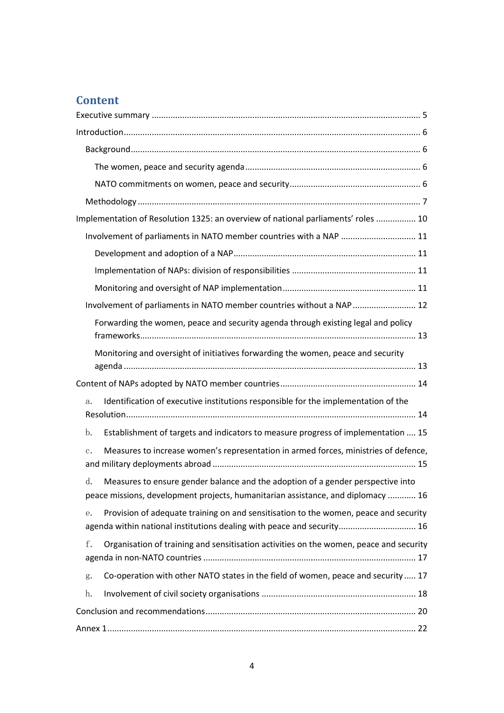# **Content**

| Implementation of Resolution 1325: an overview of national parliaments' roles  10                                                                                         |
|---------------------------------------------------------------------------------------------------------------------------------------------------------------------------|
| Involvement of parliaments in NATO member countries with a NAP  11                                                                                                        |
|                                                                                                                                                                           |
|                                                                                                                                                                           |
|                                                                                                                                                                           |
| Involvement of parliaments in NATO member countries without a NAP  12                                                                                                     |
| Forwarding the women, peace and security agenda through existing legal and policy                                                                                         |
| Monitoring and oversight of initiatives forwarding the women, peace and security                                                                                          |
|                                                                                                                                                                           |
| Identification of executive institutions responsible for the implementation of the<br>a.                                                                                  |
| Establishment of targets and indicators to measure progress of implementation  15<br>$\mathbf{b}$ .                                                                       |
| Measures to increase women's representation in armed forces, ministries of defence,<br>$\mathbf{c}$ .                                                                     |
| Measures to ensure gender balance and the adoption of a gender perspective into<br>d.<br>peace missions, development projects, humanitarian assistance, and diplomacy  16 |
| Provision of adequate training on and sensitisation to the women, peace and security<br>е.<br>agenda within national institutions dealing with peace and security 16      |
| f.<br>Organisation of training and sensitisation activities on the women, peace and security                                                                              |
| Co-operation with other NATO states in the field of women, peace and security 17<br>g.                                                                                    |
| h.                                                                                                                                                                        |
|                                                                                                                                                                           |
|                                                                                                                                                                           |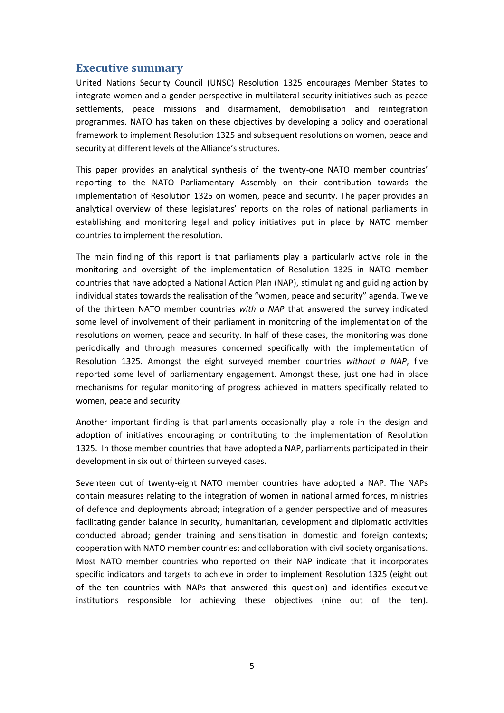## <span id="page-4-0"></span>**Executive summary**

United Nations Security Council (UNSC) Resolution 1325 encourages Member States to integrate women and a gender perspective in multilateral security initiatives such as peace settlements, peace missions and disarmament, demobilisation and reintegration programmes. NATO has taken on these objectives by developing a policy and operational framework to implement Resolution 1325 and subsequent resolutions on women, peace and security at different levels of the Alliance's structures.

This paper provides an analytical synthesis of the twenty-one NATO member countries' reporting to the NATO Parliamentary Assembly on their contribution towards the implementation of Resolution 1325 on women, peace and security. The paper provides an analytical overview of these legislatures' reports on the roles of national parliaments in establishing and monitoring legal and policy initiatives put in place by NATO member countries to implement the resolution.

The main finding of this report is that parliaments play a particularly active role in the monitoring and oversight of the implementation of Resolution 1325 in NATO member countries that have adopted a National Action Plan (NAP), stimulating and guiding action by individual states towards the realisation of the "women, peace and security" agenda. Twelve of the thirteen NATO member countries *with a NAP* that answered the survey indicated some level of involvement of their parliament in monitoring of the implementation of the resolutions on women, peace and security. In half of these cases, the monitoring was done periodically and through measures concerned specifically with the implementation of Resolution 1325. Amongst the eight surveyed member countries *without a NAP*, five reported some level of parliamentary engagement. Amongst these, just one had in place mechanisms for regular monitoring of progress achieved in matters specifically related to women, peace and security.

Another important finding is that parliaments occasionally play a role in the design and adoption of initiatives encouraging or contributing to the implementation of Resolution 1325. In those member countries that have adopted a NAP, parliaments participated in their development in six out of thirteen surveyed cases.

Seventeen out of twenty-eight NATO member countries have adopted a NAP. The NAPs contain measures relating to the integration of women in national armed forces, ministries of defence and deployments abroad; integration of a gender perspective and of measures facilitating gender balance in security, humanitarian, development and diplomatic activities conducted abroad; gender training and sensitisation in domestic and foreign contexts; cooperation with NATO member countries; and collaboration with civil society organisations. Most NATO member countries who reported on their NAP indicate that it incorporates specific indicators and targets to achieve in order to implement Resolution 1325 (eight out of the ten countries with NAPs that answered this question) and identifies executive institutions responsible for achieving these objectives (nine out of the ten).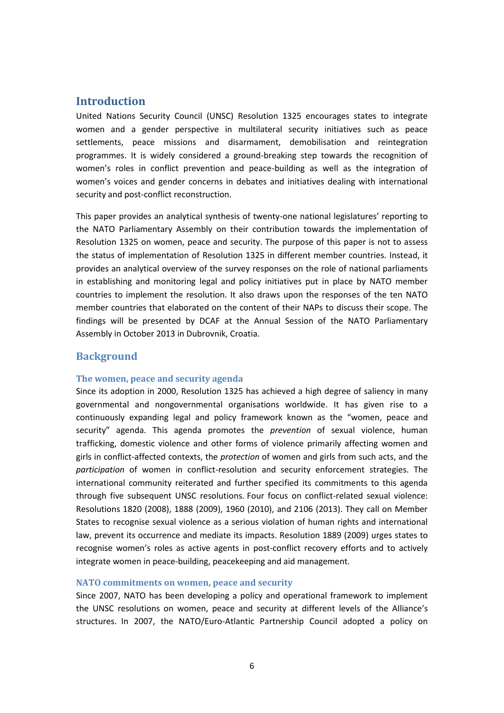## <span id="page-5-0"></span>**Introduction**

United Nations Security Council (UNSC) Resolution 1325 encourages states to integrate women and a gender perspective in multilateral security initiatives such as peace settlements, peace missions and disarmament, demobilisation and reintegration programmes. It is widely considered a ground-breaking step towards the recognition of women's roles in conflict prevention and peace-building as well as the integration of women's voices and gender concerns in debates and initiatives dealing with international security and post-conflict reconstruction.

This paper provides an analytical synthesis of twenty-one national legislatures' reporting to the NATO Parliamentary Assembly on their contribution towards the implementation of Resolution 1325 on women, peace and security. The purpose of this paper is not to assess the status of implementation of Resolution 1325 in different member countries. Instead, it provides an analytical overview of the survey responses on the role of national parliaments in establishing and monitoring legal and policy initiatives put in place by NATO member countries to implement the resolution. It also draws upon the responses of the ten NATO member countries that elaborated on the content of their NAPs to discuss their scope. The findings will be presented by DCAF at the Annual Session of the NATO Parliamentary Assembly in October 2013 in Dubrovnik, Croatia.

## <span id="page-5-1"></span>**Background**

#### <span id="page-5-2"></span>**The women, peace and security agenda**

Since its adoption in 2000, Resolution 1325 has achieved a high degree of saliency in many governmental and nongovernmental organisations worldwide. It has given rise to a continuously expanding legal and policy framework known as the "women, peace and security" agenda. This agenda promotes the *prevention* of sexual violence, human trafficking, domestic violence and other forms of violence primarily affecting women and girls in conflict-affected contexts, the *protection* of women and girls from such acts, and the *participation* of women in conflict-resolution and security enforcement strategies. The international community reiterated and further specified its commitments to this agenda through five subsequent UNSC resolutions. Four focus on conflict-related sexual violence: Resolutions 1820 (2008), 1888 (2009), 1960 (2010), and 2106 (2013). They call on Member States to recognise sexual violence as a serious violation of human rights and international law, prevent its occurrence and mediate its impacts. Resolution 1889 (2009) urges states to recognise women's roles as active agents in post-conflict recovery efforts and to actively integrate women in peace-building, peacekeeping and aid management.

#### <span id="page-5-3"></span>**NATO commitments on women, peace and security**

Since 2007, NATO has been developing a policy and operational framework to implement the UNSC resolutions on women, peace and security at different levels of the Alliance's structures. In 2007, the NATO/Euro-Atlantic Partnership Council adopted a policy on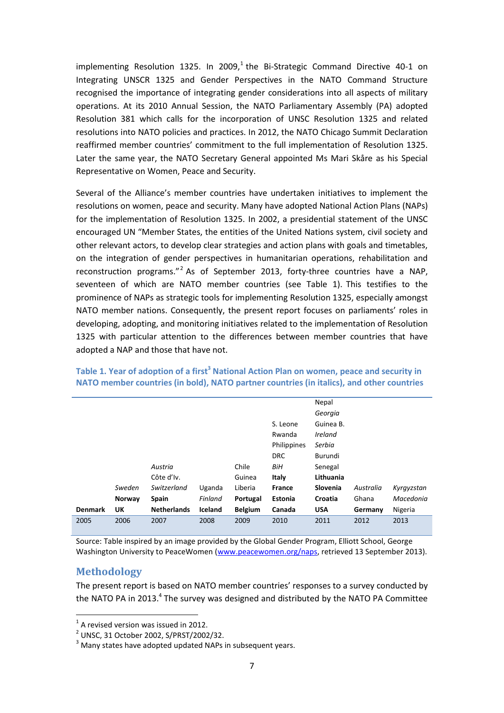implementing Resolution 1325. In 2009, $^1$  the Bi-Strategic Command Directive 40-1 on Integrating UNSCR 1325 and Gender Perspectives in the NATO Command Structure recognised the importance of integrating gender considerations into all aspects of military operations. At its 2010 Annual Session, the NATO Parliamentary Assembly (PA) adopted Resolution 381 which calls for the incorporation of UNSC Resolution 1325 and related resolutions into NATO policies and practices. In 2012, the NATO Chicago Summit Declaration reaffirmed member countries' commitment to the full implementation of Resolution 1325. Later the same year, the NATO Secretary General appointed Ms Mari Skåre as his Special Representative on Women, Peace and Security.

Several of the Alliance's member countries have undertaken initiatives to implement the resolutions on women, peace and security. Many have adopted National Action Plans (NAPs) for the implementation of Resolution 1325. In 2002, a presidential statement of the UNSC encouraged UN "Member States, the entities of the United Nations system, civil society and other relevant actors, to develop clear strategies and action plans with goals and timetables, on the integration of gender perspectives in humanitarian operations, rehabilitation and reconstruction programs."<sup>2</sup> As of September 2013, forty-three countries have a NAP, seventeen of which are NATO member countries (see [Table 1\)](#page-6-1). This testifies to the prominence of NAPs as strategic tools for implementing Resolution 1325, especially amongst NATO member nations. Consequently, the present report focuses on parliaments' roles in developing, adopting, and monitoring initiatives related to the implementation of Resolution 1325 with particular attention to the differences between member countries that have adopted a NAP and those that have not.

|                |        |                    |         |                |               | Nepal                        |           |            |
|----------------|--------|--------------------|---------|----------------|---------------|------------------------------|-----------|------------|
|                |        |                    |         |                |               | Georgia                      |           |            |
|                |        |                    |         |                | S. Leone      | Guinea B.                    |           |            |
|                |        |                    |         |                | Rwanda        | <i><u><b>Ireland</b></u></i> |           |            |
|                |        |                    |         |                | Philippines   | Serbia                       |           |            |
|                |        |                    |         |                | <b>DRC</b>    | Burundi                      |           |            |
|                |        | Austria            |         | Chile          | BiH           | Senegal                      |           |            |
|                |        | Côte d'Iv.         |         | Guinea         | Italy         | Lithuania                    |           |            |
|                | Sweden | Switzerland        | Uganda  | Liberia        | <b>France</b> | Slovenia                     | Australia | Kyrgyzstan |
|                | Norway | <b>Spain</b>       | Finland | Portugal       | Estonia       | Croatia                      | Ghana     | Macedonia  |
| <b>Denmark</b> | UK     | <b>Netherlands</b> | Iceland | <b>Belgium</b> | Canada        | <b>USA</b>                   | Germany   | Nigeria    |
| 2005           | 2006   | 2007               | 2008    | 2009           | 2010          | 2011                         | 2012      | 2013       |

#### <span id="page-6-1"></span>**Table 1. Year of adoption of a first<sup>3</sup> National Action Plan on women, peace and security in NATO member countries (in bold), NATO partner countries (in italics), and other countries**

Source: Table inspired by an image provided by the Global Gender Program, Elliott School, George Washington University to PeaceWomen [\(www.peacewomen.org/naps,](http://www.peacewomen.org/naps) retrieved 13 September 2013).

#### <span id="page-6-0"></span>**Methodology**

 $\overline{a}$ 

The present report is based on NATO member countries' responses to a survey conducted by the NATO PA in 2013.<sup>4</sup> The survey was designed and distributed by the NATO PA Committee

 $<sup>1</sup>$  A revised version was issued in 2012.</sup>

<sup>2</sup> UNSC, 31 October 2002, S/PRST/2002/32.

 $3$  Many states have adopted updated NAPs in subsequent years.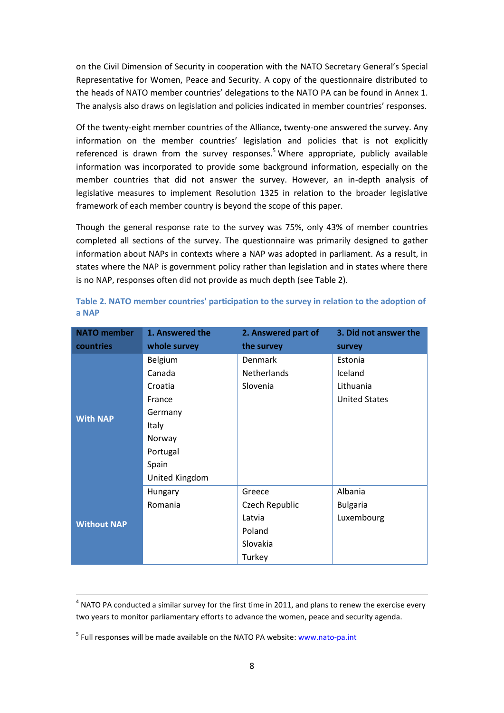on the Civil Dimension of Security in cooperation with the NATO Secretary General's Special Representative for Women, Peace and Security. A copy of the questionnaire distributed to the heads of NATO member countries' delegations to the NATO PA can be found in [Annex 1.](#page-21-0) The analysis also draws on legislation and policies indicated in member countries' responses.

Of the twenty-eight member countries of the Alliance, twenty-one answered the survey. Any information on the member countries' legislation and policies that is not explicitly referenced is drawn from the survey responses.<sup>5</sup> Where appropriate, publicly available information was incorporated to provide some background information, especially on the member countries that did not answer the survey. However, an in-depth analysis of legislative measures to implement Resolution 1325 in relation to the broader legislative framework of each member country is beyond the scope of this paper.

Though the general response rate to the survey was 75%, only 43% of member countries completed all sections of the survey. The questionnaire was primarily designed to gather information about NAPs in contexts where a NAP was adopted in parliament. As a result, in states where the NAP is government policy rather than legislation and in states where there is no NAP, responses often did not provide as much depth (se[e Table 2\)](#page-7-0).

| <b>NATO</b> member | 1. Answered the | 2. Answered part of | 3. Did not answer the |
|--------------------|-----------------|---------------------|-----------------------|
| countries          | whole survey    | the survey          | survey                |
|                    | Belgium         | <b>Denmark</b>      | Estonia               |
|                    | Canada          | <b>Netherlands</b>  | Iceland               |
|                    | Croatia         | Slovenia            | Lithuania             |
|                    | France          |                     | <b>United States</b>  |
| <b>With NAP</b>    | Germany         |                     |                       |
|                    | Italy           |                     |                       |
|                    | Norway          |                     |                       |
|                    | Portugal        |                     |                       |
|                    | Spain           |                     |                       |
|                    | United Kingdom  |                     |                       |
|                    | Hungary         | Greece              | Albania               |
|                    | Romania         | Czech Republic      | <b>Bulgaria</b>       |
| <b>Without NAP</b> |                 | Latvia              | Luxembourg            |
|                    |                 | Poland              |                       |
|                    |                 | Slovakia            |                       |
|                    |                 | Turkey              |                       |

<span id="page-7-0"></span>

|       |  | Table 2. NATO member countries' participation to the survey in relation to the adoption of |  |  |  |
|-------|--|--------------------------------------------------------------------------------------------|--|--|--|
| a NAP |  |                                                                                            |  |  |  |

 $\overline{\phantom{a}}$ 

 $<sup>4</sup>$  NATO PA conducted a similar survey for the first time in 2011, and plans to renew the exercise every</sup> two years to monitor parliamentary efforts to advance the women, peace and security agenda.

<sup>&</sup>lt;sup>5</sup> Full responses will be made available on the NATO PA website: [www.nato-pa.int](http://www.nato-pa.int/)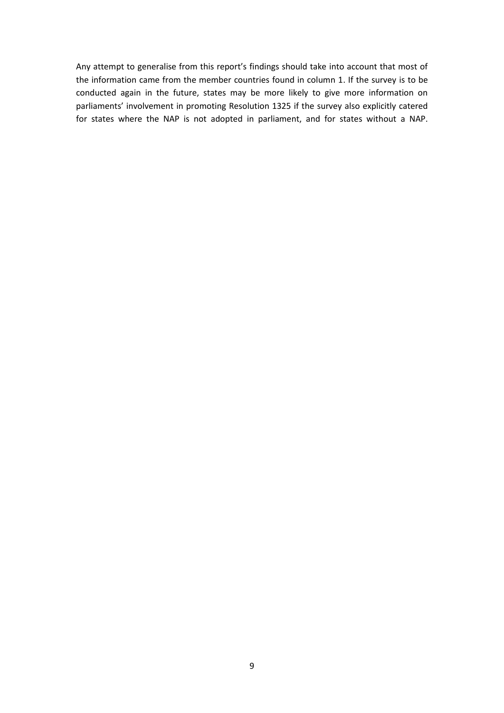Any attempt to generalise from this report's findings should take into account that most of the information came from the member countries found in column 1. If the survey is to be conducted again in the future, states may be more likely to give more information on parliaments' involvement in promoting Resolution 1325 if the survey also explicitly catered for states where the NAP is not adopted in parliament, and for states without a NAP.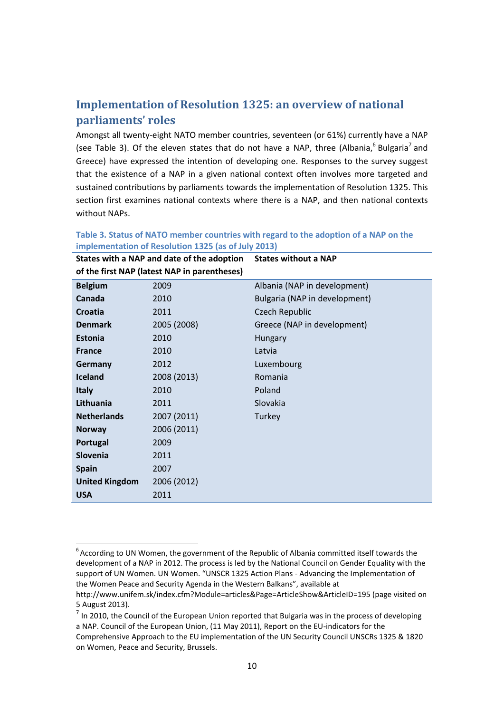# <span id="page-9-0"></span>**Implementation of Resolution 1325: an overview of national parliaments' roles**

Amongst all twenty-eight NATO member countries, seventeen (or 61%) currently have a NAP (see [Table 3\)](#page-9-1). Of the eleven states that do not have a NAP, three (Albania,  $6$  Bulgaria<sup>7</sup> and Greece) have expressed the intention of developing one. Responses to the survey suggest that the existence of a NAP in a given national context often involves more targeted and sustained contributions by parliaments towards the implementation of Resolution 1325. This section first examines national contexts where there is a NAP, and then national contexts without NAPs.

|                       | States with a NAP and date of the adoption   | <b>States without a NAP</b>   |
|-----------------------|----------------------------------------------|-------------------------------|
|                       | of the first NAP (latest NAP in parentheses) |                               |
| <b>Belgium</b>        | 2009                                         | Albania (NAP in development)  |
| Canada                | 2010                                         | Bulgaria (NAP in development) |
| Croatia               | 2011                                         | Czech Republic                |
| <b>Denmark</b>        | 2005 (2008)                                  | Greece (NAP in development)   |
| <b>Estonia</b>        | 2010                                         | Hungary                       |
| <b>France</b>         | 2010                                         | Latvia                        |
| Germany               | 2012                                         | Luxembourg                    |
| <b>Iceland</b>        | 2008 (2013)                                  | Romania                       |
| <b>Italy</b>          | 2010                                         | Poland                        |
| Lithuania             | 2011                                         | <b>Slovakia</b>               |
| <b>Netherlands</b>    | 2007 (2011)                                  | Turkey                        |
| <b>Norway</b>         | 2006 (2011)                                  |                               |
| Portugal              | 2009                                         |                               |
| <b>Slovenia</b>       | 2011                                         |                               |
| <b>Spain</b>          | 2007                                         |                               |
| <b>United Kingdom</b> | 2006 (2012)                                  |                               |
| <b>USA</b>            | 2011                                         |                               |

#### <span id="page-9-1"></span>**Table 3. Status of NATO member countries with regard to the adoption of a NAP on the implementation of Resolution 1325 (as of July 2013) States with a NAP and date of the adoption**

 $\overline{a}$ 

 $^6$  According to UN Women, the government of the Republic of Albania committed itself towards the development of a NAP in 2012. The process is led by the National Council on Gender Equality with the support of UN Women. UN Women. "UNSCR 1325 Action Plans - Advancing the Implementation of the Women Peace and Security Agenda in the Western Balkans", available at

<http://www.unifem.sk/index.cfm?Module=articles&Page=ArticleShow&ArticleID=195> (page visited on 5 August 2013).

 $<sup>7</sup>$  In 2010, the Council of the European Union reported that Bulgaria was in the process of developing</sup> a NAP. Council of the European Union, (11 May 2011), Report on the EU-indicators for the Comprehensive Approach to the EU implementation of the UN Security Council UNSCRs 1325 & 1820 on Women, Peace and Security, Brussels.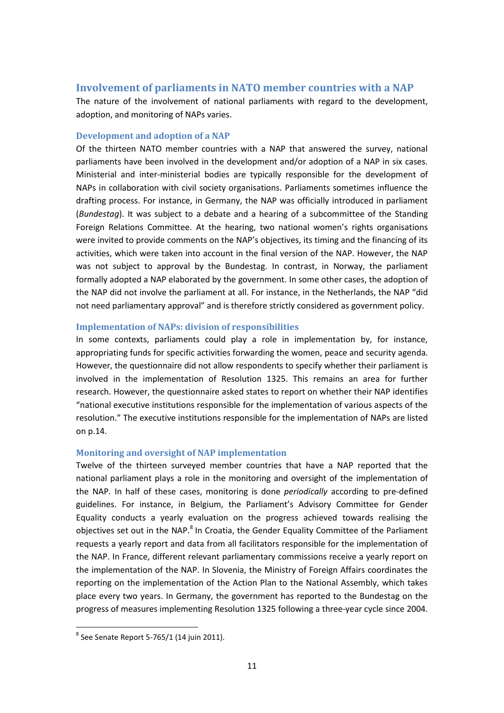## <span id="page-10-0"></span>**Involvement of parliaments in NATO member countries with a NAP**

The nature of the involvement of national parliaments with regard to the development, adoption, and monitoring of NAPs varies.

#### <span id="page-10-1"></span>**Development and adoption of a NAP**

Of the thirteen NATO member countries with a NAP that answered the survey, national parliaments have been involved in the development and/or adoption of a NAP in six cases. Ministerial and inter-ministerial bodies are typically responsible for the development of NAPs in collaboration with civil society organisations. Parliaments sometimes influence the drafting process. For instance, in Germany, the NAP was officially introduced in parliament (*Bundestag*). It was subject to a debate and a hearing of a subcommittee of the Standing Foreign Relations Committee. At the hearing, two national women's rights organisations were invited to provide comments on the NAP's objectives, its timing and the financing of its activities, which were taken into account in the final version of the NAP. However, the NAP was not subject to approval by the Bundestag. In contrast, in Norway, the parliament formally adopted a NAP elaborated by the government. In some other cases, the adoption of the NAP did not involve the parliament at all. For instance, in the Netherlands, the NAP "did not need parliamentary approval" and is therefore strictly considered as government policy.

#### <span id="page-10-2"></span>**Implementation of NAPs: division of responsibilities**

In some contexts, parliaments could play a role in implementation by, for instance, appropriating funds for specific activities forwarding the women, peace and security agenda. However, the questionnaire did not allow respondents to specify whether their parliament is involved in the implementation of Resolution 1325. This remains an area for further research. However, the questionnaire asked states to report on whether their NAP identifies "national executive institutions responsible for the implementation of various aspects of the resolution." The executive institutions responsible for the implementation of NAPs are listed on p[.14.](#page-13-1)

#### <span id="page-10-3"></span>**Monitoring and oversight of NAP implementation**

Twelve of the thirteen surveyed member countries that have a NAP reported that the national parliament plays a role in the monitoring and oversight of the implementation of the NAP. In half of these cases, monitoring is done *periodically* according to pre-defined guidelines. For instance, in Belgium, the Parliament's Advisory Committee for Gender Equality conducts a yearly evaluation on the progress achieved towards realising the objectives set out in the NAP.<sup>8</sup> In Croatia, the Gender Equality Committee of the Parliament requests a yearly report and data from all facilitators responsible for the implementation of the NAP. In France, different relevant parliamentary commissions receive a yearly report on the implementation of the NAP. In Slovenia, the Ministry of Foreign Affairs coordinates the reporting on the implementation of the Action Plan to the National Assembly, which takes place every two years. In Germany, the government has reported to the Bundestag on the progress of measures implementing Resolution 1325 following a three-year cycle since 2004.

 $\ddot{\phantom{a}}$ 

 $^8$  See Senate Report 5-765/1 (14 juin 2011).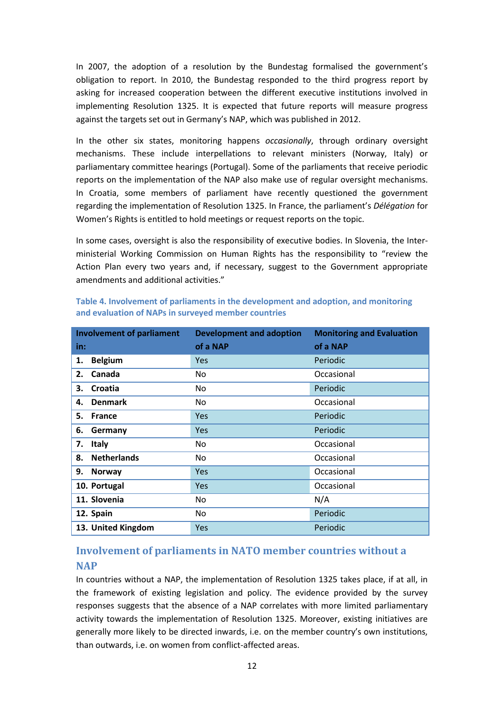In 2007, the adoption of a resolution by the Bundestag formalised the government's obligation to report. In 2010, the Bundestag responded to the third progress report by asking for increased cooperation between the different executive institutions involved in implementing Resolution 1325. It is expected that future reports will measure progress against the targets set out in Germany's NAP, which was published in 2012.

In the other six states, monitoring happens *occasionally*, through ordinary oversight mechanisms. These include interpellations to relevant ministers (Norway, Italy) or parliamentary committee hearings (Portugal). Some of the parliaments that receive periodic reports on the implementation of the NAP also make use of regular oversight mechanisms. In Croatia, some members of parliament have recently questioned the government regarding the implementation of Resolution 1325. In France, the parliament's *Délégation* for Women's Rights is entitled to hold meetings or request reports on the topic.

In some cases, oversight is also the responsibility of executive bodies. In Slovenia, the Interministerial Working Commission on Human Rights has the responsibility to "review the Action Plan every two years and, if necessary, suggest to the Government appropriate amendments and additional activities."

| <b>Involvement of parliament</b> | <b>Development and adoption</b> | <b>Monitoring and Evaluation</b> |
|----------------------------------|---------------------------------|----------------------------------|
| in:                              | of a NAP                        | of a NAP                         |
| <b>Belgium</b><br>1.             | <b>Yes</b>                      | Periodic                         |
| Canada<br>2.                     | No                              | Occasional                       |
| Croatia<br>3.                    | No.                             | Periodic                         |
| <b>Denmark</b><br>4.             | No.                             | Occasional                       |
| 5.<br><b>France</b>              | Yes                             | Periodic                         |
| 6.<br>Germany                    | Yes                             | Periodic                         |
| 7.<br><b>Italy</b>               | No.                             | Occasional                       |
| <b>Netherlands</b><br>8.         | No.                             | Occasional                       |
| 9.<br><b>Norway</b>              | Yes                             | Occasional                       |
| 10. Portugal                     | Yes                             | Occasional                       |
| 11. Slovenia                     | No                              | N/A                              |
| 12. Spain                        | No.                             | Periodic                         |
| 13. United Kingdom               | <b>Yes</b>                      | Periodic                         |

**Table 4. Involvement of parliaments in the development and adoption, and monitoring and evaluation of NAPs in surveyed member countries**

# <span id="page-11-0"></span>**Involvement of parliaments in NATO member countries without a NAP**

In countries without a NAP, the implementation of Resolution 1325 takes place, if at all, in the framework of existing legislation and policy. The evidence provided by the survey responses suggests that the absence of a NAP correlates with more limited parliamentary activity towards the implementation of Resolution 1325. Moreover, existing initiatives are generally more likely to be directed inwards, i.e. on the member country's own institutions, than outwards, i.e. on women from conflict-affected areas.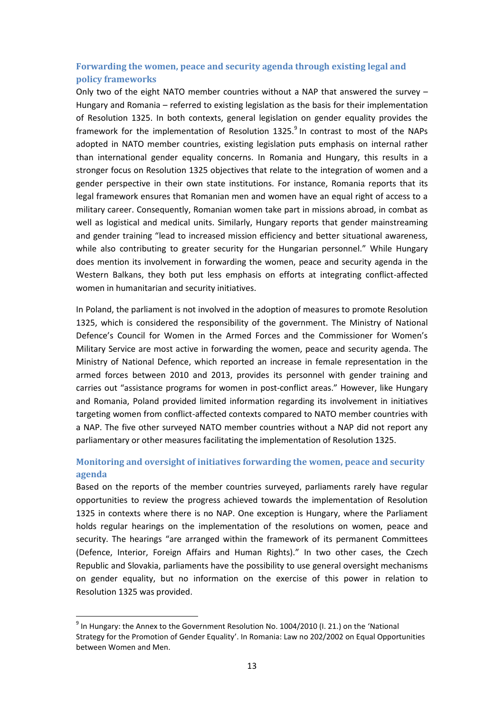## <span id="page-12-0"></span>**Forwarding the women, peace and security agenda through existing legal and policy frameworks**

Only two of the eight NATO member countries without a NAP that answered the survey  $-$ Hungary and Romania – referred to existing legislation as the basis for their implementation of Resolution 1325. In both contexts, general legislation on gender equality provides the framework for the implementation of Resolution 1325.<sup>9</sup> In contrast to most of the NAPs adopted in NATO member countries, existing legislation puts emphasis on internal rather than international gender equality concerns. In Romania and Hungary, this results in a stronger focus on Resolution 1325 objectives that relate to the integration of women and a gender perspective in their own state institutions. For instance, Romania reports that its legal framework ensures that Romanian men and women have an equal right of access to a military career. Consequently, Romanian women take part in missions abroad, in combat as well as logistical and medical units. Similarly, Hungary reports that gender mainstreaming and gender training "lead to increased mission efficiency and better situational awareness, while also contributing to greater security for the Hungarian personnel." While Hungary does mention its involvement in forwarding the women, peace and security agenda in the Western Balkans, they both put less emphasis on efforts at integrating conflict-affected women in humanitarian and security initiatives.

In Poland, the parliament is not involved in the adoption of measures to promote Resolution 1325, which is considered the responsibility of the government. The Ministry of National Defence's Council for Women in the Armed Forces and the Commissioner for Women's Military Service are most active in forwarding the women, peace and security agenda. The Ministry of National Defence, which reported an increase in female representation in the armed forces between 2010 and 2013, provides its personnel with gender training and carries out "assistance programs for women in post-conflict areas." However, like Hungary and Romania, Poland provided limited information regarding its involvement in initiatives targeting women from conflict-affected contexts compared to NATO member countries with a NAP. The five other surveyed NATO member countries without a NAP did not report any parliamentary or other measures facilitating the implementation of Resolution 1325.

## <span id="page-12-1"></span>**Monitoring and oversight of initiatives forwarding the women, peace and security agenda**

Based on the reports of the member countries surveyed, parliaments rarely have regular opportunities to review the progress achieved towards the implementation of Resolution 1325 in contexts where there is no NAP. One exception is Hungary, where the Parliament holds regular hearings on the implementation of the resolutions on women, peace and security. The hearings "are arranged within the framework of its permanent Committees (Defence, Interior, Foreign Affairs and Human Rights)." In two other cases, the Czech Republic and Slovakia, parliaments have the possibility to use general oversight mechanisms on gender equality, but no information on the exercise of this power in relation to Resolution 1325 was provided.

 $\overline{a}$ 

 $^9$  In Hungary: the Annex to the Government Resolution No. 1004/2010 (I. 21.) on the 'National Strategy for the Promotion of Gender Equality'. In Romania: Law no 202/2002 on Equal Opportunities between Women and Men.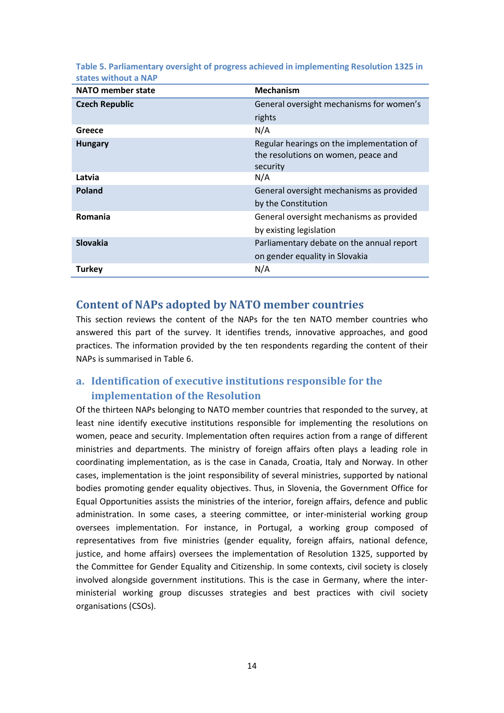| <b>NATO member state</b> | <b>Mechanism</b>                                                                             |
|--------------------------|----------------------------------------------------------------------------------------------|
| <b>Czech Republic</b>    | General oversight mechanisms for women's                                                     |
|                          | rights                                                                                       |
| Greece                   | N/A                                                                                          |
| <b>Hungary</b>           | Regular hearings on the implementation of<br>the resolutions on women, peace and<br>security |
| Latvia                   | N/A                                                                                          |
| Poland                   | General oversight mechanisms as provided                                                     |
|                          | by the Constitution                                                                          |
| Romania                  | General oversight mechanisms as provided                                                     |
|                          | by existing legislation                                                                      |
| <b>Slovakia</b>          | Parliamentary debate on the annual report                                                    |
|                          | on gender equality in Slovakia                                                               |
| <b>Turkey</b>            | N/A                                                                                          |

**Table 5. Parliamentary oversight of progress achieved in implementing Resolution 1325 in states without a NAP**

## <span id="page-13-0"></span>**Content of NAPs adopted by NATO member countries**

This section reviews the content of the NAPs for the ten NATO member countries who answered this part of the survey. It identifies trends, innovative approaches, and good practices. The information provided by the ten respondents regarding the content of their NAPs is summarised in [Table 6.](#page-18-0)

# <span id="page-13-1"></span>**a. Identification of executive institutions responsible for the implementation of the Resolution**

Of the thirteen NAPs belonging to NATO member countries that responded to the survey, at least nine identify executive institutions responsible for implementing the resolutions on women, peace and security. Implementation often requires action from a range of different ministries and departments. The ministry of foreign affairs often plays a leading role in coordinating implementation, as is the case in Canada, Croatia, Italy and Norway. In other cases, implementation is the joint responsibility of several ministries, supported by national bodies promoting gender equality objectives. Thus, in Slovenia, the Government Office for Equal Opportunities assists the ministries of the interior, foreign affairs, defence and public administration. In some cases, a steering committee, or inter-ministerial working group oversees implementation. For instance, in Portugal, a working group composed of representatives from five ministries (gender equality, foreign affairs, national defence, justice, and home affairs) oversees the implementation of Resolution 1325, supported by the Committee for Gender Equality and Citizenship. In some contexts, civil society is closely involved alongside government institutions. This is the case in Germany, where the interministerial working group discusses strategies and best practices with civil society organisations (CSOs).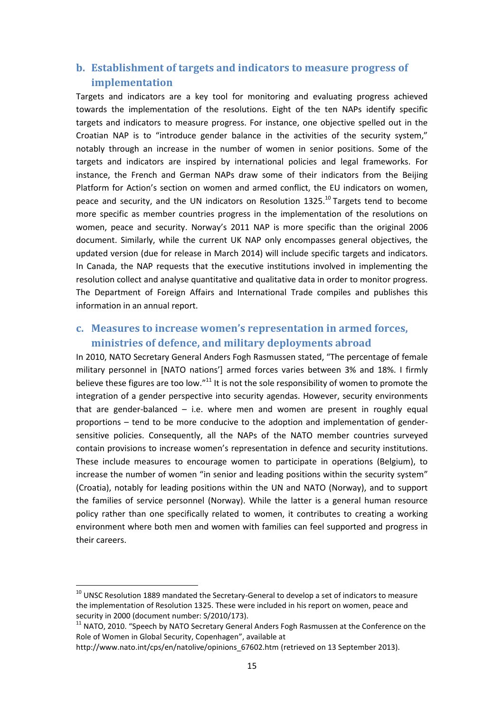## <span id="page-14-0"></span>**b. Establishment of targets and indicators to measure progress of implementation**

Targets and indicators are a key tool for monitoring and evaluating progress achieved towards the implementation of the resolutions. Eight of the ten NAPs identify specific targets and indicators to measure progress. For instance, one objective spelled out in the Croatian NAP is to "introduce gender balance in the activities of the security system," notably through an increase in the number of women in senior positions. Some of the targets and indicators are inspired by international policies and legal frameworks. For instance, the French and German NAPs draw some of their indicators from the Beijing Platform for Action's section on women and armed conflict, the EU indicators on women, peace and security, and the UN indicators on Resolution 1325.<sup>10</sup> Targets tend to become more specific as member countries progress in the implementation of the resolutions on women, peace and security. Norway's 2011 NAP is more specific than the original 2006 document. Similarly, while the current UK NAP only encompasses general objectives, the updated version (due for release in March 2014) will include specific targets and indicators. In Canada, the NAP requests that the executive institutions involved in implementing the resolution collect and analyse quantitative and qualitative data in order to monitor progress. The Department of Foreign Affairs and International Trade compiles and publishes this information in an annual report.

## <span id="page-14-1"></span>**c. Measures to increase women's representation in armed forces, ministries of defence, and military deployments abroad**

In 2010, NATO Secretary General Anders Fogh Rasmussen stated, "The percentage of female military personnel in [NATO nations'] armed forces varies between 3% and 18%. I firmly believe these figures are too low."<sup>11</sup> It is not the sole responsibility of women to promote the integration of a gender perspective into security agendas. However, security environments that are gender-balanced  $-$  i.e. where men and women are present in roughly equal proportions – tend to be more conducive to the adoption and implementation of gendersensitive policies. Consequently, all the NAPs of the NATO member countries surveyed contain provisions to increase women's representation in defence and security institutions. These include measures to encourage women to participate in operations (Belgium), to increase the number of women "in senior and leading positions within the security system" (Croatia), notably for leading positions within the UN and NATO (Norway), and to support the families of service personnel (Norway). While the latter is a general human resource policy rather than one specifically related to women, it contributes to creating a working environment where both men and women with families can feel supported and progress in their careers.

 $\overline{a}$ 

 $^{10}$  UNSC Resolution 1889 mandated the Secretary-General to develop a set of indicators to measure the implementation of Resolution 1325. These were included in his report on women, peace and security in 2000 (document number: S/2010/173).

 $11$  NATO, 2010. "Speech by NATO Secretary General Anders Fogh Rasmussen at the Conference on the Role of Women in Global Security, Copenhagen", available at

http://www.nato.int/cps/en/natolive/opinions\_67602.htm (retrieved on 13 September 2013).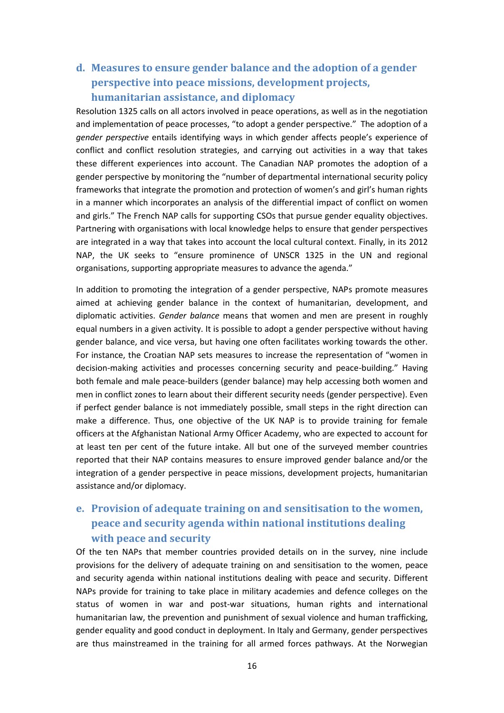# <span id="page-15-0"></span>**d. Measures to ensure gender balance and the adoption of a gender perspective into peace missions, development projects, humanitarian assistance, and diplomacy**

Resolution 1325 calls on all actors involved in peace operations, as well as in the negotiation and implementation of peace processes, "to adopt a gender perspective." The adoption of a *gender perspective* entails identifying ways in which gender affects people's experience of conflict and conflict resolution strategies, and carrying out activities in a way that takes these different experiences into account. The Canadian NAP promotes the adoption of a gender perspective by monitoring the "number of departmental international security policy frameworks that integrate the promotion and protection of women's and girl's human rights in a manner which incorporates an analysis of the differential impact of conflict on women and girls." The French NAP calls for supporting CSOs that pursue gender equality objectives. Partnering with organisations with local knowledge helps to ensure that gender perspectives are integrated in a way that takes into account the local cultural context. Finally, in its 2012 NAP, the UK seeks to "ensure prominence of UNSCR 1325 in the UN and regional organisations, supporting appropriate measures to advance the agenda."

In addition to promoting the integration of a gender perspective, NAPs promote measures aimed at achieving gender balance in the context of humanitarian, development, and diplomatic activities. *Gender balance* means that women and men are present in roughly equal numbers in a given activity. It is possible to adopt a gender perspective without having gender balance, and vice versa, but having one often facilitates working towards the other. For instance, the Croatian NAP sets measures to increase the representation of "women in decision-making activities and processes concerning security and peace-building." Having both female and male peace-builders (gender balance) may help accessing both women and men in conflict zones to learn about their different security needs (gender perspective). Even if perfect gender balance is not immediately possible, small steps in the right direction can make a difference. Thus, one objective of the UK NAP is to provide training for female officers at the Afghanistan National Army Officer Academy, who are expected to account for at least ten per cent of the future intake. All but one of the surveyed member countries reported that their NAP contains measures to ensure improved gender balance and/or the integration of a gender perspective in peace missions, development projects, humanitarian assistance and/or diplomacy.

# <span id="page-15-1"></span>**e. Provision of adequate training on and sensitisation to the women, peace and security agenda within national institutions dealing with peace and security**

Of the ten NAPs that member countries provided details on in the survey, nine include provisions for the delivery of adequate training on and sensitisation to the women, peace and security agenda within national institutions dealing with peace and security. Different NAPs provide for training to take place in military academies and defence colleges on the status of women in war and post-war situations, human rights and international humanitarian law, the prevention and punishment of sexual violence and human trafficking, gender equality and good conduct in deployment. In Italy and Germany, gender perspectives are thus mainstreamed in the training for all armed forces pathways. At the Norwegian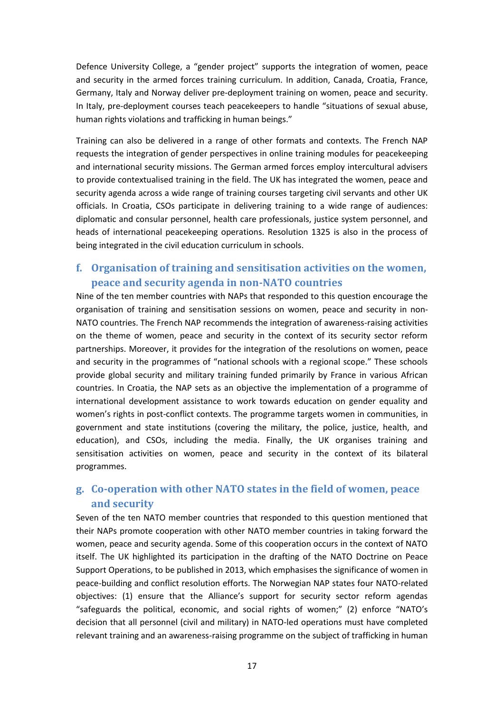Defence University College, a "gender project" supports the integration of women, peace and security in the armed forces training curriculum. In addition, Canada, Croatia, France, Germany, Italy and Norway deliver pre-deployment training on women, peace and security. In Italy, pre-deployment courses teach peacekeepers to handle "situations of sexual abuse, human rights violations and trafficking in human beings."

Training can also be delivered in a range of other formats and contexts. The French NAP requests the integration of gender perspectives in online training modules for peacekeeping and international security missions. The German armed forces employ intercultural advisers to provide contextualised training in the field. The UK has integrated the women, peace and security agenda across a wide range of training courses targeting civil servants and other UK officials. In Croatia, CSOs participate in delivering training to a wide range of audiences: diplomatic and consular personnel, health care professionals, justice system personnel, and heads of international peacekeeping operations. Resolution 1325 is also in the process of being integrated in the civil education curriculum in schools.

## <span id="page-16-0"></span>**f. Organisation of training and sensitisation activities on the women, peace and security agenda in non-NATO countries**

Nine of the ten member countries with NAPs that responded to this question encourage the organisation of training and sensitisation sessions on women, peace and security in non-NATO countries. The French NAP recommends the integration of awareness-raising activities on the theme of women, peace and security in the context of its security sector reform partnerships. Moreover, it provides for the integration of the resolutions on women, peace and security in the programmes of "national schools with a regional scope." These schools provide global security and military training funded primarily by France in various African countries. In Croatia, the NAP sets as an objective the implementation of a programme of international development assistance to work towards education on gender equality and women's rights in post-conflict contexts. The programme targets women in communities, in government and state institutions (covering the military, the police, justice, health, and education), and CSOs, including the media. Finally, the UK organises training and sensitisation activities on women, peace and security in the context of its bilateral programmes.

## <span id="page-16-1"></span>**g. Co-operation with other NATO states in the field of women, peace and security**

Seven of the ten NATO member countries that responded to this question mentioned that their NAPs promote cooperation with other NATO member countries in taking forward the women, peace and security agenda. Some of this cooperation occurs in the context of NATO itself. The UK highlighted its participation in the drafting of the NATO Doctrine on Peace Support Operations, to be published in 2013, which emphasises the significance of women in peace-building and conflict resolution efforts. The Norwegian NAP states four NATO-related objectives: (1) ensure that the Alliance's support for security sector reform agendas "safeguards the political, economic, and social rights of women;" (2) enforce "NATO's decision that all personnel (civil and military) in NATO-led operations must have completed relevant training and an awareness-raising programme on the subject of trafficking in human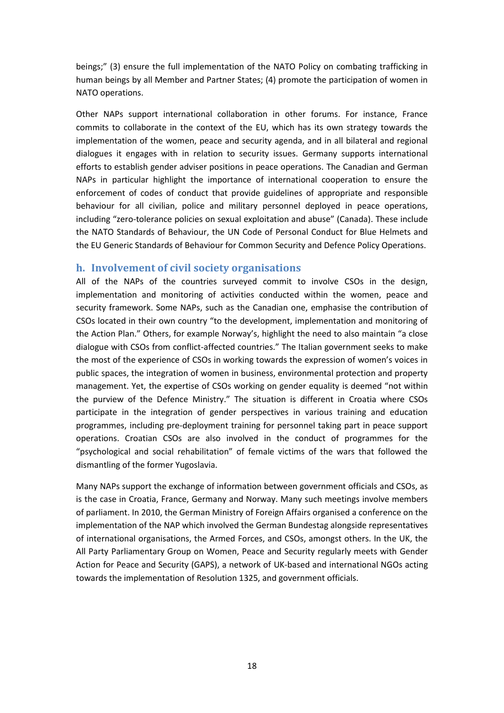beings;" (3) ensure the full implementation of the NATO Policy on combating trafficking in human beings by all Member and Partner States; (4) promote the participation of women in NATO operations.

Other NAPs support international collaboration in other forums. For instance, France commits to collaborate in the context of the EU, which has its own strategy towards the implementation of the women, peace and security agenda, and in all bilateral and regional dialogues it engages with in relation to security issues. Germany supports international efforts to establish gender adviser positions in peace operations. The Canadian and German NAPs in particular highlight the importance of international cooperation to ensure the enforcement of codes of conduct that provide guidelines of appropriate and responsible behaviour for all civilian, police and military personnel deployed in peace operations, including "zero-tolerance policies on sexual exploitation and abuse" (Canada). These include the NATO Standards of Behaviour, the UN Code of Personal Conduct for Blue Helmets and the EU Generic Standards of Behaviour for Common Security and Defence Policy Operations.

#### <span id="page-17-0"></span>**h. Involvement of civil society organisations**

All of the NAPs of the countries surveyed commit to involve CSOs in the design, implementation and monitoring of activities conducted within the women, peace and security framework. Some NAPs, such as the Canadian one, emphasise the contribution of CSOs located in their own country "to the development, implementation and monitoring of the Action Plan." Others, for example Norway's, highlight the need to also maintain "a close dialogue with CSOs from conflict-affected countries." The Italian government seeks to make the most of the experience of CSOs in working towards the expression of women's voices in public spaces, the integration of women in business, environmental protection and property management. Yet, the expertise of CSOs working on gender equality is deemed "not within the purview of the Defence Ministry." The situation is different in Croatia where CSOs participate in the integration of gender perspectives in various training and education programmes, including pre-deployment training for personnel taking part in peace support operations. Croatian CSOs are also involved in the conduct of programmes for the "psychological and social rehabilitation" of female victims of the wars that followed the dismantling of the former Yugoslavia.

Many NAPs support the exchange of information between government officials and CSOs, as is the case in Croatia, France, Germany and Norway. Many such meetings involve members of parliament. In 2010, the German Ministry of Foreign Affairs organised a conference on the implementation of the NAP which involved the German Bundestag alongside representatives of international organisations, the Armed Forces, and CSOs, amongst others. In the UK, the All Party Parliamentary Group on Women, Peace and Security regularly meets with Gender Action for Peace and Security (GAPS), a network of UK-based and international NGOs acting towards the implementation of Resolution 1325, and government officials.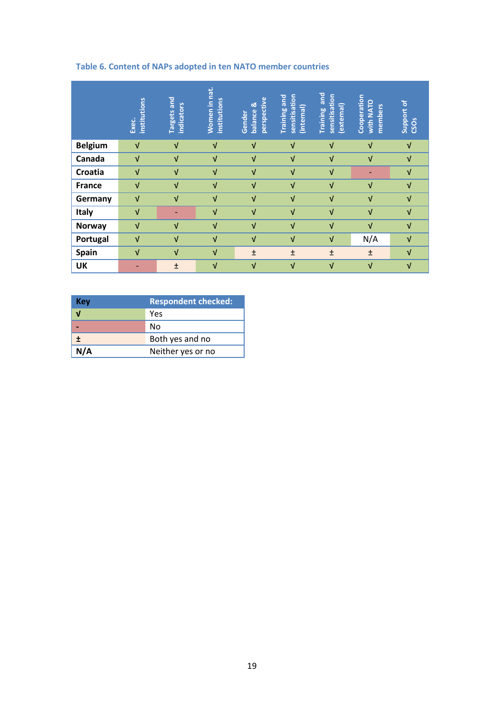## <span id="page-18-0"></span>**Table 6. Content of NAPs adopted in ten NATO member countries**

|                | institutions<br>Exec. | <b>Targets and</b><br>indicators | Women in nat.<br><b>institutions</b> | perspective<br>balance &<br>Gender | sensitisation<br><b>Training and</b><br>(internal) | and<br>sensitisation<br>(external)<br>Training | Cooperation<br><b>With NATO</b><br>members | Support of<br><b>CSOS</b> |
|----------------|-----------------------|----------------------------------|--------------------------------------|------------------------------------|----------------------------------------------------|------------------------------------------------|--------------------------------------------|---------------------------|
| <b>Belgium</b> | $\sqrt{ }$            | $\sqrt{ }$                       | $\sqrt{ }$                           | $\sqrt{ }$                         | $\sqrt{ }$                                         | $\sqrt{ }$                                     | $\sqrt{ }$                                 | $\sqrt{ }$                |
| Canada         | $\sqrt{ }$            | $\sqrt{ }$                       | $\sqrt{ }$                           | $\sqrt{ }$                         | $\sqrt{ }$                                         | $\sqrt{ }$                                     | $\sqrt{ }$                                 | $\sqrt{ }$                |
| Croatia        | $\sqrt{ }$            | $\sqrt{ }$                       | $\sqrt{ }$                           | $\sqrt{ }$                         | $\sqrt{ }$                                         | $\sqrt{ }$                                     |                                            | $\sqrt{ }$                |
| <b>France</b>  | $\sqrt{ }$            | $\sqrt{ }$                       | $\sqrt{ }$                           | $\sqrt{ }$                         | V                                                  | $\sqrt{ }$                                     | $\sqrt{ }$                                 | $\sqrt{ }$                |
| Germany        | $\sqrt{ }$            | $\sqrt{ }$                       | $\sqrt{ }$                           | $\sqrt{ }$                         | $\sqrt{ }$                                         | $\sqrt{ }$                                     | $\sqrt{ }$                                 | $\sqrt{ }$                |
| Italy          | $\sqrt{ }$            | -                                | $\sqrt{ }$                           | $\sqrt{ }$                         | V                                                  | $\sqrt{ }$                                     | $\sqrt{ }$                                 | $\sqrt{ }$                |
| <b>Norway</b>  | $\sqrt{ }$            | $\sqrt{ }$                       | $\sqrt{ }$                           | $\sqrt{ }$                         | $\sqrt{ }$                                         | $\sqrt{ }$                                     | $\sqrt{ }$                                 | $\sqrt{ }$                |
| Portugal       | $\sqrt{ }$            | $\sqrt{ }$                       | $\sqrt{ }$                           | $\sqrt{ }$                         | $\sqrt{ }$                                         | $\sqrt{ }$                                     | N/A                                        | $\sqrt{ }$                |
| Spain          | $\sqrt{ }$            | $\sqrt{ }$                       | V                                    | $\pm$                              | $\pm$                                              | $\pm$                                          | $\pm$                                      | $\sqrt{ }$                |
| <b>UK</b>      | ٠                     | $\pm$                            | $\sqrt{ }$                           | $\sqrt{ }$                         | $\sqrt{ }$                                         | $\sqrt{ }$                                     | $\sqrt{ }$                                 | $\sqrt{ }$                |

| Key | <b>Respondent checked:</b> |
|-----|----------------------------|
|     | Yes                        |
|     | No                         |
| Ŧ   | Both yes and no            |
| N/A | Neither yes or no          |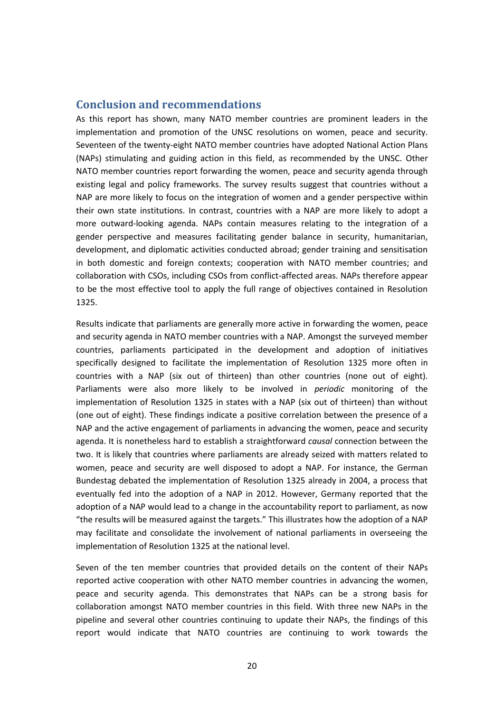## <span id="page-19-0"></span>**Conclusion and recommendations**

As this report has shown, many NATO member countries are prominent leaders in the implementation and promotion of the UNSC resolutions on women, peace and security. Seventeen of the twenty-eight NATO member countries have adopted National Action Plans (NAPs) stimulating and guiding action in this field, as recommended by the UNSC. Other NATO member countries report forwarding the women, peace and security agenda through existing legal and policy frameworks. The survey results suggest that countries without a NAP are more likely to focus on the integration of women and a gender perspective within their own state institutions. In contrast, countries with a NAP are more likely to adopt a more outward-looking agenda. NAPs contain measures relating to the integration of a gender perspective and measures facilitating gender balance in security, humanitarian, development, and diplomatic activities conducted abroad; gender training and sensitisation in both domestic and foreign contexts; cooperation with NATO member countries; and collaboration with CSOs, including CSOs from conflict-affected areas. NAPs therefore appear to be the most effective tool to apply the full range of objectives contained in Resolution 1325.

Results indicate that parliaments are generally more active in forwarding the women, peace and security agenda in NATO member countries with a NAP. Amongst the surveyed member countries, parliaments participated in the development and adoption of initiatives specifically designed to facilitate the implementation of Resolution 1325 more often in countries with a NAP (six out of thirteen) than other countries (none out of eight). Parliaments were also more likely to be involved in *periodic* monitoring of the implementation of Resolution 1325 in states with a NAP (six out of thirteen) than without (one out of eight). These findings indicate a positive correlation between the presence of a NAP and the active engagement of parliaments in advancing the women, peace and security agenda. It is nonetheless hard to establish a straightforward *causal* connection between the two. It is likely that countries where parliaments are already seized with matters related to women, peace and security are well disposed to adopt a NAP. For instance, the German Bundestag debated the implementation of Resolution 1325 already in 2004, a process that eventually fed into the adoption of a NAP in 2012. However, Germany reported that the adoption of a NAP would lead to a change in the accountability report to parliament, as now "the results will be measured against the targets." This illustrates how the adoption of a NAP may facilitate and consolidate the involvement of national parliaments in overseeing the implementation of Resolution 1325 at the national level.

Seven of the ten member countries that provided details on the content of their NAPs reported active cooperation with other NATO member countries in advancing the women, peace and security agenda. This demonstrates that NAPs can be a strong basis for collaboration amongst NATO member countries in this field. With three new NAPs in the pipeline and several other countries continuing to update their NAPs, the findings of this report would indicate that NATO countries are continuing to work towards the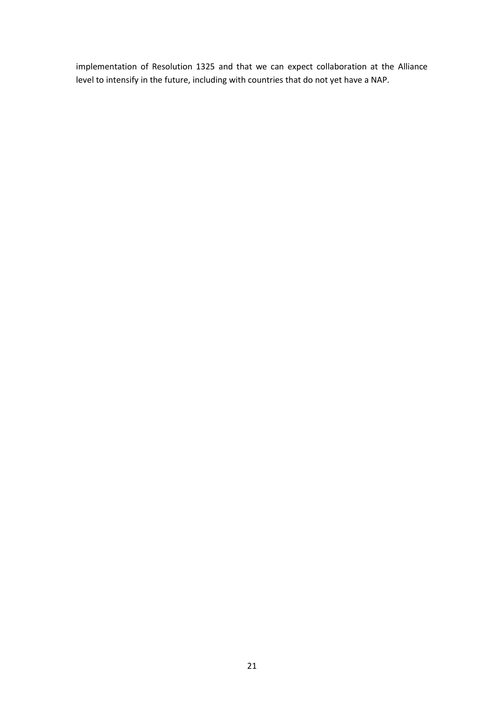implementation of Resolution 1325 and that we can expect collaboration at the Alliance level to intensify in the future, including with countries that do not yet have a NAP.